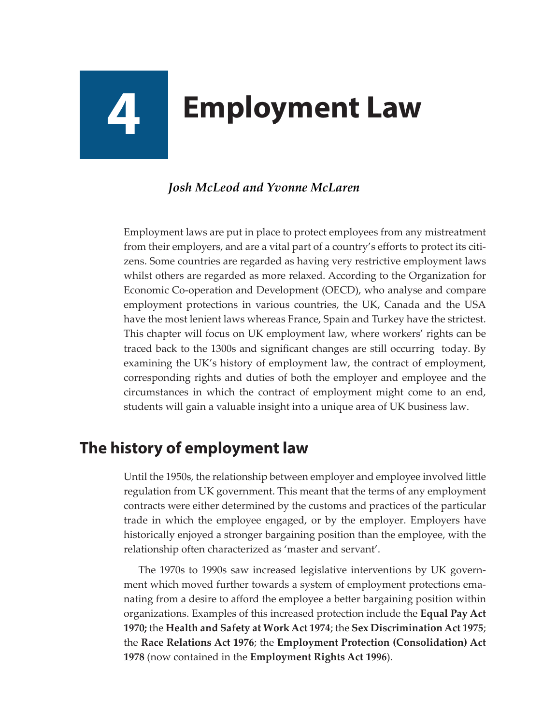# **4 Employment Law**

## *Josh McLeod and Yvonne McLaren*

Employment laws are put in place to protect employees from any mistreatment from their employers, and are a vital part of a country's efforts to protect its citizens. Some countries are regarded as having very restrictive employment laws whilst others are regarded as more relaxed. According to the Organization for Economic Co-operation and Development (OECD), who analyse and compare employment protections in various countries, the UK, Canada and the USA have the most lenient laws whereas France, Spain and Turkey have the strictest. This chapter will focus on UK employment law, where workers' rights can be traced back to the 1300s and significant changes are still occurring today. By examining the UK's history of employment law, the contract of employment, corresponding rights and duties of both the employer and employee and the circumstances in which the contract of employment might come to an end, students will gain a valuable insight into a unique area of UK business law.

# **The history of employment law**

Until the 1950s, the relationship between employer and employee involved little regulation from UK government. This meant that the terms of any employment contracts were either determined by the customs and practices of the particular trade in which the employee engaged, or by the employer. Employers have historically enjoyed a stronger bargaining position than the employee, with the relationship often characterized as 'master and servant'.

The 1970s to 1990s saw increased legislative interventions by UK government which moved further towards a system of employment protections emanating from a desire to afford the employee a better bargaining position within organizations. Examples of this increased protection include the **Equal Pay Act 1970;** the **Health and Safety at Work Act 1974**; the **Sex Discrimination Act 1975**; the **Race Relations Act 1976**; the **Employment Protection (Consolidation) Act 1978** (now contained in the **Employment Rights Act 1996**).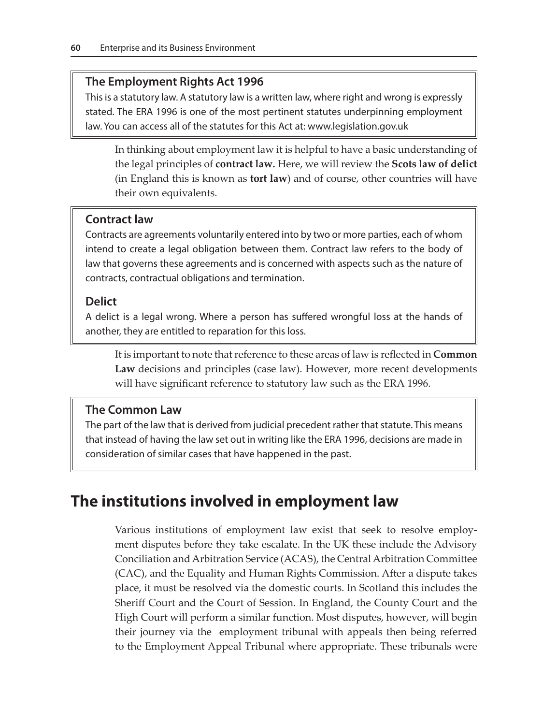#### **The Employment Rights Act 1996**

This is a statutory law. A statutory law is a written law, where right and wrong is expressly stated. The ERA 1996 is one of the most pertinent statutes underpinning employment law. You can access all of the statutes for this Act at: www.legislation.gov.uk

In thinking about employment law it is helpful to have a basic understanding of the legal principles of **contract law.** Here, we will review the **Scots law of delict** (in England this is known as **tort law**) and of course, other countries will have their own equivalents.

#### **Contract law**

Contracts are agreements voluntarily entered into by two or more parties, each of whom intend to create a legal obligation between them. Contract law refers to the body of law that governs these agreements and is concerned with aspects such as the nature of contracts, contractual obligations and termination.

#### **Delict**

A delict is a legal wrong. Where a person has suffered wrongful loss at the hands of another, they are entitled to reparation for this loss.

It is important to note that reference to these areas of law is reflected in **Common Law** decisions and principles (case law). However, more recent developments will have significant reference to statutory law such as the ERA 1996.

#### **The Common Law**

The part of the law that is derived from judicial precedent rather that statute. This means that instead of having the law set out in writing like the ERA 1996, decisions are made in consideration of similar cases that have happened in the past.

# **The institutions involved in employment law**

Various institutions of employment law exist that seek to resolve employment disputes before they take escalate. In the UK these include the Advisory Conciliation and Arbitration Service (ACAS), the Central Arbitration Committee (CAC), and the Equality and Human Rights Commission. After a dispute takes place, it must be resolved via the domestic courts. In Scotland this includes the Sheriff Court and the Court of Session. In England, the County Court and the High Court will perform a similar function. Most disputes, however, will begin their journey via the employment tribunal with appeals then being referred to the Employment Appeal Tribunal where appropriate. These tribunals were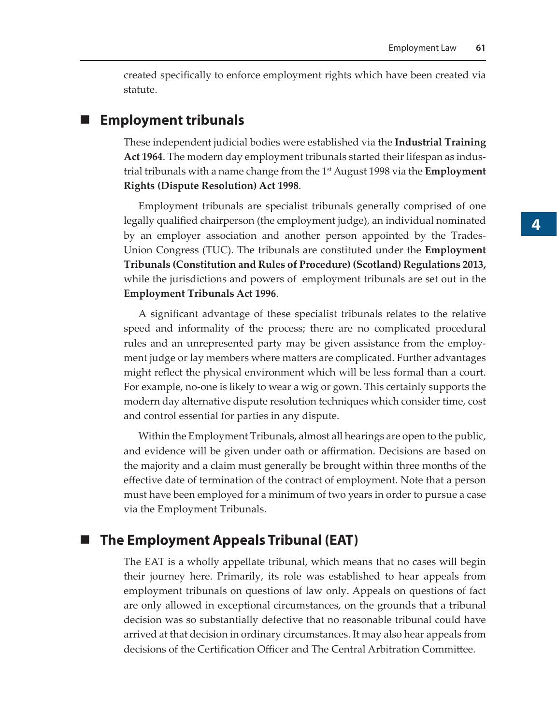created specifically to enforce employment rights which have been created via statute.

### **Employment tribunals**

These independent judicial bodies were established via the **Industrial Training Act 1964**. The modern day employment tribunals started their lifespan as industrial tribunals with a name change from the 1st August 1998 via the **Employment Rights (Dispute Resolution) Act 1998**.

Employment tribunals are specialist tribunals generally comprised of one legally qualified chairperson (the employment judge), an individual nominated by an employer association and another person appointed by the Trades-Union Congress (TUC). The tribunals are constituted under the **Employment Tribunals (Constitution and Rules of Procedure) (Scotland) Regulations 2013,**  while the jurisdictions and powers of employment tribunals are set out in the **Employment Tribunals Act 1996**.

A significant advantage of these specialist tribunals relates to the relative speed and informality of the process; there are no complicated procedural rules and an unrepresented party may be given assistance from the employment judge or lay members where matters are complicated. Further advantages might reflect the physical environment which will be less formal than a court. For example, no-one is likely to wear a wig or gown. This certainly supports the modern day alternative dispute resolution techniques which consider time, cost and control essential for parties in any dispute.

Within the Employment Tribunals, almost all hearings are open to the public, and evidence will be given under oath or affirmation. Decisions are based on the majority and a claim must generally be brought within three months of the effective date of termination of the contract of employment. Note that a person must have been employed for a minimum of two years in order to pursue a case via the Employment Tribunals.

## **The Employment Appeals Tribunal (EAT)**

The EAT is a wholly appellate tribunal, which means that no cases will begin their journey here. Primarily, its role was established to hear appeals from employment tribunals on questions of law only. Appeals on questions of fact are only allowed in exceptional circumstances, on the grounds that a tribunal decision was so substantially defective that no reasonable tribunal could have arrived at that decision in ordinary circumstances. It may also hear appeals from decisions of the Certification Officer and The Central Arbitration Committee.